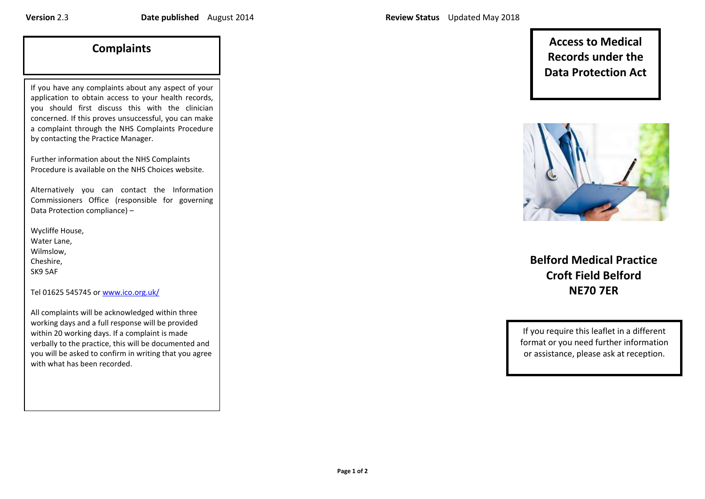If you have any complaints about any aspect of your application to obtain access to your health records, you should first discuss this with the clinician concerned. If this proves unsuccessful, you can make a complaint through the NHS Complaints Procedure by contacting the Practice Manager.

Further information about the NHS Complaints Procedure is available on th[e NHS Choices website.](http://www.nhs.uk/aboutNHSChoices/pages/Howtocomplaincompliment.aspx)

Alternatively you can contact the Information Commissioners Office (responsible for governing Data Protection compliance) –

Wycliffe House, Water Lane, Wilmslow, Cheshire, SK9 5AF

Tel 01625 545745 o[r www.ico.org.uk/](http://www.ico.org.uk/)

All complaints will be acknowledged within three working days and a full response will be provided within 20 working days. If a complaint is made verbally to the practice, this will be documented and you will be asked to confirm in writing that you agree with what has been recorded.

**Complaints Access to Medical Records under the Data Protection Act** 



**Belford Medical Practice Croft Field Belford NE70 7ER**

If you require this leaflet in a different format or you need further information or assistance, please ask at reception.